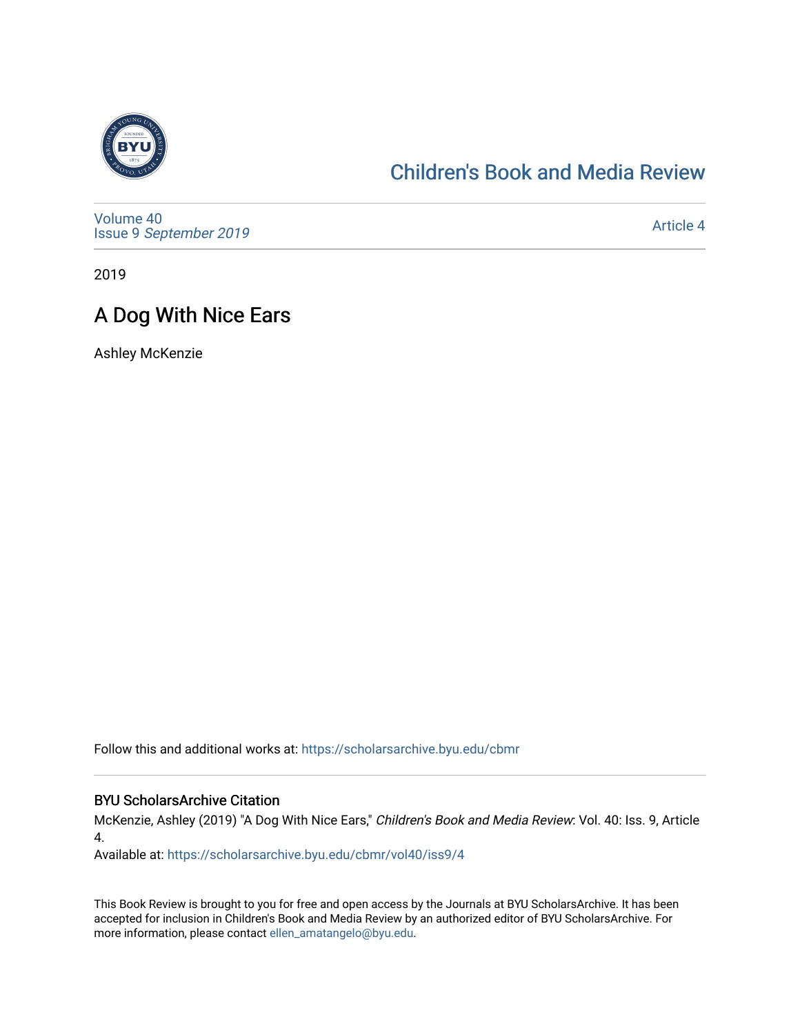

## [Children's Book and Media Review](https://scholarsarchive.byu.edu/cbmr)

[Volume 40](https://scholarsarchive.byu.edu/cbmr/vol40) Issue 9 [September 2019](https://scholarsarchive.byu.edu/cbmr/vol40/iss9) 

[Article 4](https://scholarsarchive.byu.edu/cbmr/vol40/iss9/4) 

2019

## A Dog With Nice Ears

Ashley McKenzie

Follow this and additional works at: [https://scholarsarchive.byu.edu/cbmr](https://scholarsarchive.byu.edu/cbmr?utm_source=scholarsarchive.byu.edu%2Fcbmr%2Fvol40%2Fiss9%2F4&utm_medium=PDF&utm_campaign=PDFCoverPages) 

## BYU ScholarsArchive Citation

McKenzie, Ashley (2019) "A Dog With Nice Ears," Children's Book and Media Review: Vol. 40: Iss. 9, Article 4.

Available at: [https://scholarsarchive.byu.edu/cbmr/vol40/iss9/4](https://scholarsarchive.byu.edu/cbmr/vol40/iss9/4?utm_source=scholarsarchive.byu.edu%2Fcbmr%2Fvol40%2Fiss9%2F4&utm_medium=PDF&utm_campaign=PDFCoverPages) 

This Book Review is brought to you for free and open access by the Journals at BYU ScholarsArchive. It has been accepted for inclusion in Children's Book and Media Review by an authorized editor of BYU ScholarsArchive. For more information, please contact [ellen\\_amatangelo@byu.edu.](mailto:ellen_amatangelo@byu.edu)